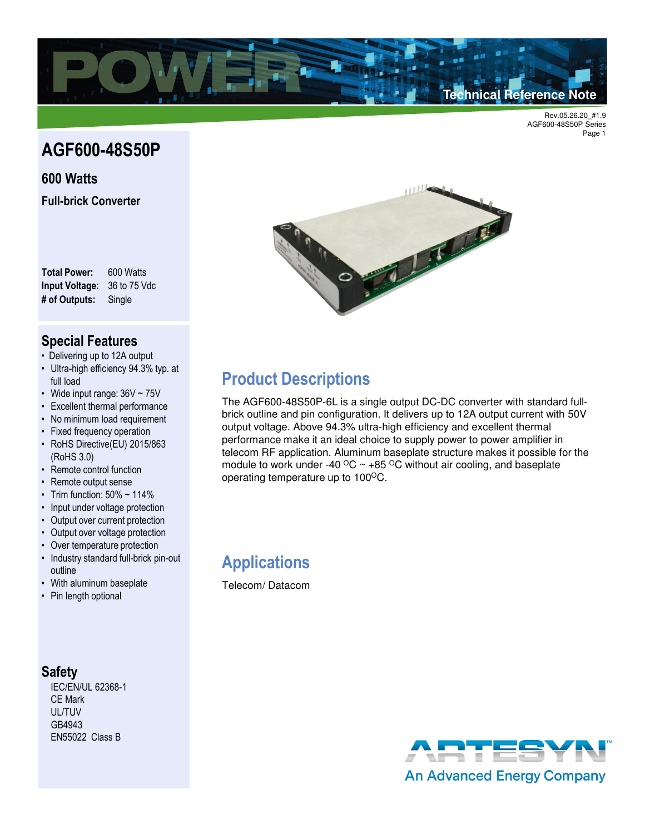

# **AGF600-48S50P**

### **600 Watts**

**Full-brick Converter**

**Total Power:** 600 Watts **Input Voltage:** 36 to 75 Vdc **# of Outputs:** Single

### **Special Features**

- Delivering up to 12A output
- Ultra-high efficiency 94.3% typ. at full load
- Wide input range: 36V ~ 75V
- Excellent thermal performance
- No minimum load requirement
- Fixed frequency operation
- RoHS Directive(EU) 2015/863 (RoHS 3.0)
- Remote control function
- Remote output sense
- Trim function:  $50\% \sim 114\%$
- Input under voltage protection
- Output over current protection
- Output over voltage protection
- Over temperature protection
- Industry standard full-brick pin-out outline
- With aluminum baseplate
- Pin length optional

### **Safety**

IEC/EN/UL 62368-1 CE Mark UL/TUV GB4943 EN55022 Class B

**Product Descriptions**

The AGF600-48S50P-6L is a single output DC-DC converter with standard fullbrick outline and pin configuration. It delivers up to 12A output current with 50V output voltage. Above 94.3% ultra-high efficiency and excellent thermal performance make it an ideal choice to supply power to power amplifier in telecom RF application. Aluminum baseplate structure makes it possible for the module to work under -40  $\mathrm{^{\circ}C} \sim +85$   $\mathrm{^{\circ}C}$  without air cooling, and baseplate operating temperature up to 100<sup>o</sup>C.

LA COMP

# **Applications**

Telecom/ Datacom

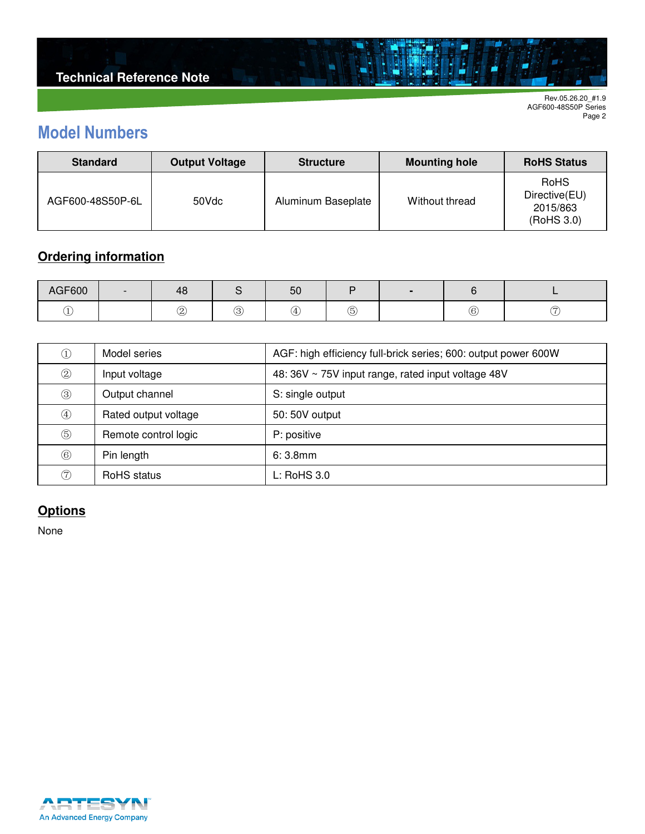# **Model Numbers**

| <b>Standard</b>  | <b>Output Voltage</b> | <b>Structure</b>   | <b>Mounting hole</b> | <b>RoHS Status</b>                                     |
|------------------|-----------------------|--------------------|----------------------|--------------------------------------------------------|
| AGF600-48S50P-6L | 50Vdc                 | Aluminum Baseplate | Without thread       | <b>RoHS</b><br>Directive(EU)<br>2015/863<br>(RoHS 3.0) |

ä

### **Ordering information**

| AGF600                   | $\overline{\phantom{0}}$ | 47<br>$\overline{\phantom{a}}$ |                  | 50 |    |        |  |
|--------------------------|--------------------------|--------------------------------|------------------|----|----|--------|--|
| $\overline{\phantom{a}}$ |                          | .<br>ے                         | . പ<br>v.<br>. . |    | (5 | ╭<br>╰ |  |

| $\left( 1\right)$ | Model series         | AGF: high efficiency full-brick series; 600: output power 600W |
|-------------------|----------------------|----------------------------------------------------------------|
| $^{\circledR}$    | Input voltage        | 48: 36V ~ 75V input range, rated input voltage 48V             |
| $\circledS$       | Output channel       | S: single output                                               |
| $\circled{4}$     | Rated output voltage | 50:50V output                                                  |
| $\circledS$       | Remote control logic | P: positive                                                    |
| $\circledS$       | Pin length           | 6:3.8mm                                                        |
| (7)               | RoHS status          | L: RoHS 3.0                                                    |

### **Options**

None

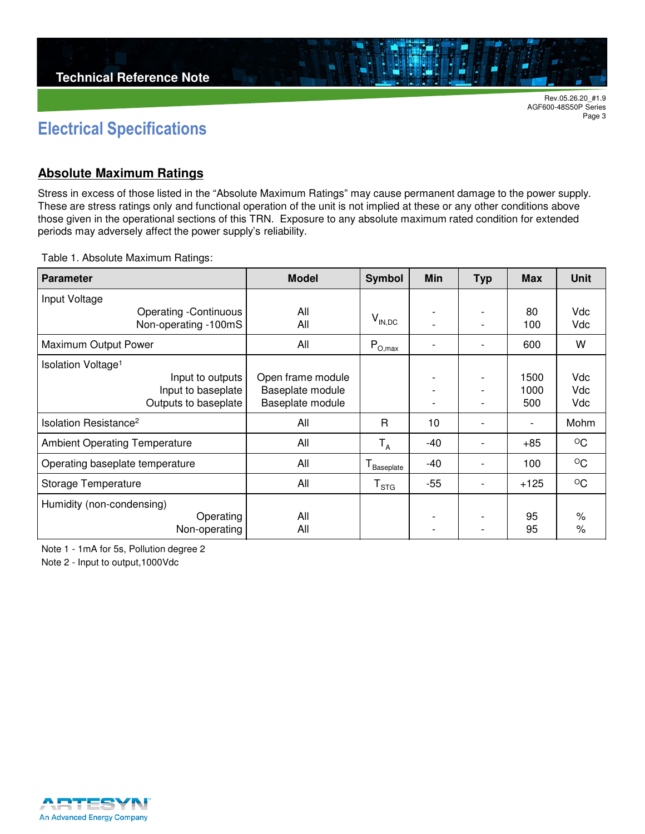

# **Electrical Specifications**

### **Absolute Maximum Ratings**

Stress in excess of those listed in the "Absolute Maximum Ratings" may cause permanent damage to the power supply. These are stress ratings only and functional operation of the unit is not implied at these or any other conditions above those given in the operational sections of this TRN. Exposure to any absolute maximum rated condition for extended periods may adversely affect the power supply's reliability.

Table 1. Absolute Maximum Ratings:

| <b>Parameter</b>                     | <b>Model</b>      | Symbol                        | Min   | <b>Typ</b>               | <b>Max</b> | <b>Unit</b> |
|--------------------------------------|-------------------|-------------------------------|-------|--------------------------|------------|-------------|
| Input Voltage                        |                   |                               |       |                          |            |             |
| <b>Operating -Continuous</b>         | All               | $V_{\mathsf{IN},\mathsf{DC}}$ |       |                          | 80         | Vdc         |
| Non-operating -100mS                 | All               |                               |       |                          | 100        | Vdc         |
| Maximum Output Power                 | All               | $P_{O,max}$                   |       | $\overline{\phantom{0}}$ | 600        | W           |
| Isolation Voltage <sup>1</sup>       |                   |                               |       |                          |            |             |
| Input to outputs                     | Open frame module |                               |       |                          | 1500       | Vdc         |
| Input to baseplate                   | Baseplate module  |                               |       |                          | 1000       | Vdc         |
| Outputs to baseplate                 | Baseplate module  |                               |       |                          | 500        | Vdc         |
| Isolation Resistance <sup>2</sup>    | All               | $\mathsf{R}$                  | 10    |                          |            | Mohm        |
| <b>Ambient Operating Temperature</b> | All               | $T_A$                         | -40   |                          | $+85$      | $\circ$ C   |
| Operating baseplate temperature      | All               | $T_{\text{Baseplate}}$        | -40   |                          | 100        | $\circ$ C   |
| Storage Temperature                  | All               | $T_{\mathtt{STG}}$            | $-55$ |                          | $+125$     | $\circ$ C   |
| Humidity (non-condensing)            |                   |                               |       |                          |            |             |
| Operating                            | All               |                               |       |                          | 95         | $\%$        |
| Non-operating                        | All               |                               |       |                          | 95         | $\%$        |

Note 1 - 1mA for 5s, Pollution degree 2

Note 2 - Input to output,1000Vdc

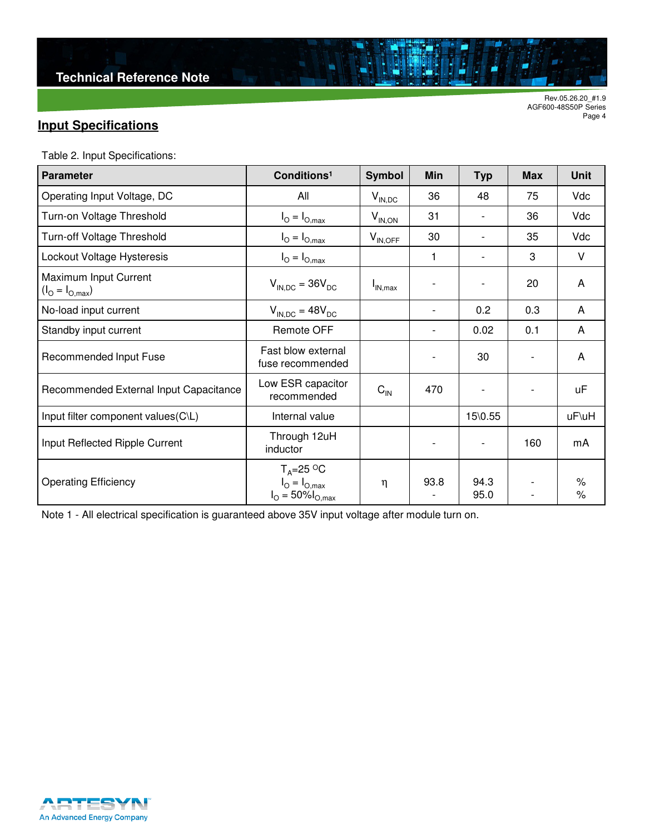### **Input Specifications**

Table 2. Input Specifications:

| <b>Parameter</b>                                   | Conditions <sup>1</sup>                                                                      | <b>Symbol</b> | <b>Min</b>               | <b>Typ</b>               | <b>Max</b>               | <b>Unit</b>  |
|----------------------------------------------------|----------------------------------------------------------------------------------------------|---------------|--------------------------|--------------------------|--------------------------|--------------|
| Operating Input Voltage, DC                        | All                                                                                          | $V_{IN,DC}$   | 36                       | 48                       | 75                       | Vdc          |
| Turn-on Voltage Threshold                          | $I_{\text{O}} = I_{\text{O,max}}$                                                            | $V_{IN,ON}$   | 31                       |                          | 36                       | Vdc          |
| Turn-off Voltage Threshold                         | $I_{\text{O}} = I_{\text{O,max}}$                                                            | $V_{IN,OFF}$  | 30                       |                          | 35                       | Vdc          |
| Lockout Voltage Hysteresis                         | $I_{\text{O}} = I_{\text{O,max}}$                                                            |               | 1                        | $\overline{\phantom{a}}$ | 3                        | $\vee$       |
| Maximum Input Current<br>$(I_{\odot} = I_{O,max})$ | $V_{IN,DC} = 36V_{DC}$                                                                       | $I_{IN,max}$  |                          |                          | 20                       | A            |
| No-load input current                              | $V_{IN,DC} = 48V_{DC}$                                                                       |               |                          | 0.2                      | 0.3                      | A            |
| Standby input current                              | Remote OFF                                                                                   |               | $\overline{\phantom{a}}$ | 0.02                     | 0.1                      | A            |
| Recommended Input Fuse                             | Fast blow external<br>fuse recommended                                                       |               |                          | 30                       |                          | A            |
| Recommended External Input Capacitance             | Low ESR capacitor<br>recommended                                                             | $C_{IN}$      | 470                      | $\overline{\phantom{a}}$ | $\overline{\phantom{a}}$ | uF           |
| Input filter component values(C\L)                 | Internal value                                                                               |               |                          | 15\0.55                  |                          | uF\uH        |
| Input Reflected Ripple Current                     | Through 12uH<br>inductor                                                                     |               |                          |                          | 160                      | mA           |
| <b>Operating Efficiency</b>                        | $T_A = 25$ °C<br>$I_{\text{O}} = I_{\text{O,max}}$<br>$I_{\text{O}} = 50\% I_{\text{O,max}}$ | η             | 93.8                     | 94.3<br>95.0             |                          | $\%$<br>$\%$ |

Note 1 - All electrical specification is guaranteed above 35V input voltage after module turn on.

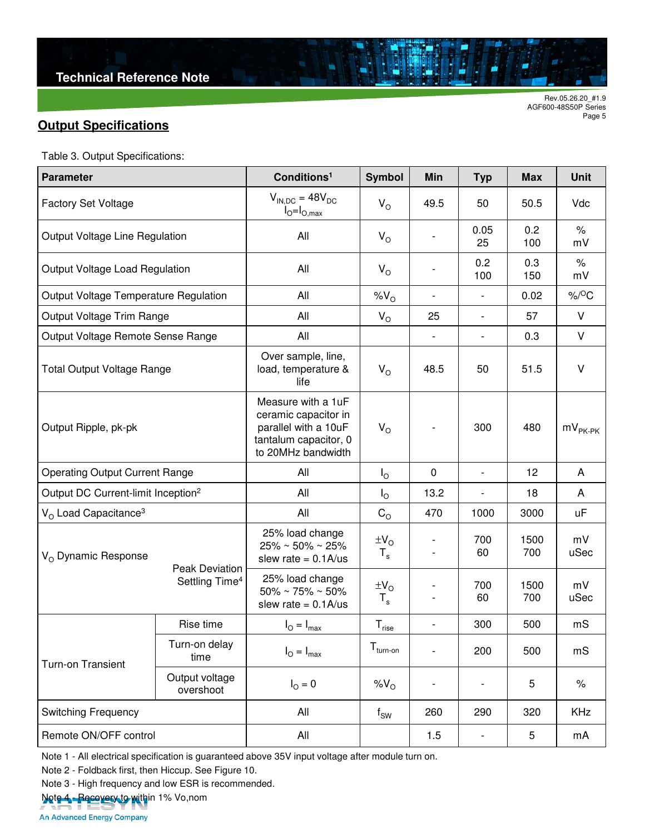### **Output Specifications**

| Table 3. Output Specifications: |
|---------------------------------|
|---------------------------------|

| <b>Parameter</b>                               |                                              | Conditions <sup>1</sup>                                                                                           | <b>Symbol</b>                           | Min                      | <b>Typ</b>               | <b>Max</b>  | <b>Unit</b>                    |
|------------------------------------------------|----------------------------------------------|-------------------------------------------------------------------------------------------------------------------|-----------------------------------------|--------------------------|--------------------------|-------------|--------------------------------|
| <b>Factory Set Voltage</b>                     |                                              | $V_{IN.DC} = 48V_{DC}$<br>$I_{\text{O}}=I_{\text{O,max}}$                                                         | $V_{\rm O}$                             | 49.5                     | 50                       | 50.5        | Vdc                            |
| Output Voltage Line Regulation                 |                                              | All                                                                                                               | $V_{\rm O}$                             |                          | 0.05<br>25               | 0.2<br>100  | $\%$<br>mV                     |
| Output Voltage Load Regulation                 |                                              | All                                                                                                               | $V_{\rm O}$                             |                          | 0.2<br>100               | 0.3<br>150  | $\%$<br>mV                     |
| Output Voltage Temperature Regulation          |                                              | All                                                                                                               | $\%V_{O}$                               | $\overline{\phantom{a}}$ | $\frac{1}{2}$            | 0.02        | $\%$ / <sup>O</sup> C          |
| Output Voltage Trim Range                      |                                              | All                                                                                                               | $V_{\rm O}$                             | 25                       | $\overline{\phantom{a}}$ | 57          | $\sf V$                        |
| Output Voltage Remote Sense Range              |                                              | All                                                                                                               |                                         | $\overline{\phantom{a}}$ | $\overline{\phantom{a}}$ | 0.3         | $\vee$                         |
| <b>Total Output Voltage Range</b>              |                                              | Over sample, line,<br>load, temperature &<br>life                                                                 | $V_{\Omega}$                            | 48.5                     | 50                       | 51.5        | $\vee$                         |
| Output Ripple, pk-pk                           |                                              | Measure with a 1uF<br>ceramic capacitor in<br>parallel with a 10uF<br>tantalum capacitor, 0<br>to 20MHz bandwidth | $V_{\rm O}$                             | $\overline{\phantom{a}}$ | 300                      | 480         | $\mathsf{mV}_{\mathsf{PK-PK}}$ |
| <b>Operating Output Current Range</b>          |                                              | All                                                                                                               | $I_{\odot}$                             | 0                        | $\blacksquare$           | 12          | A                              |
| Output DC Current-limit Inception <sup>2</sup> |                                              | All                                                                                                               | $I_{\odot}$                             | 13.2                     |                          | 18          | A                              |
| V <sub>O</sub> Load Capacitance <sup>3</sup>   |                                              | All                                                                                                               | $C_{\rm O}$                             | 470                      | 1000                     | 3000        | uF                             |
| V <sub>o</sub> Dynamic Response                |                                              | 25% load change<br>$25\% \sim 50\% \sim 25\%$<br>slew rate = $0.1$ A/us                                           | $\pm V_{\rm O}$<br>$T_{s}$              |                          | 700<br>60                | 1500<br>700 | mV<br>uSec                     |
|                                                | Peak Deviation<br>Settling Time <sup>4</sup> | 25% load change<br>$50\% \sim 75\% \sim 50\%$<br>slew rate = $0.1$ A/us                                           | $\pm V_{\rm O}$<br>$T_{\rm s}$          | $\overline{\phantom{a}}$ | 700<br>60                | 1500<br>700 | mV<br>uSec                     |
|                                                | Rise time                                    | $I_{\Omega} = I_{\text{max}}$                                                                                     | $T_{rise}$                              | $\overline{\phantom{0}}$ | 300                      | 500         | mS                             |
| Turn-on Transient                              | Turn-on delay<br>time                        | $I_{\odot} = I_{\text{max}}$                                                                                      | $T_{turn-on}$                           | $\blacksquare$           | 200                      | 500         | mS                             |
|                                                | Output voltage<br>overshoot                  | $I_{\Omega} = 0$                                                                                                  | $%V_{O}$                                |                          |                          | 5           | $\%$                           |
| <b>Switching Frequency</b>                     |                                              | All                                                                                                               | $\boldsymbol{\mathsf{f}}_{\mathsf{SW}}$ | 260                      | 290                      | 320         | <b>KHz</b>                     |
| Remote ON/OFF control                          |                                              | All                                                                                                               |                                         | 1.5                      |                          | 5           | mA                             |

ä

Note 1 - All electrical specification is guaranteed above 35V input voltage after module turn on.

Note 2 - Foldback first, then Hiccup. See Figure 10.

Note 3 - High frequency and low ESR is recommended.

Note 4 - Recovery to within 1% Vo, nom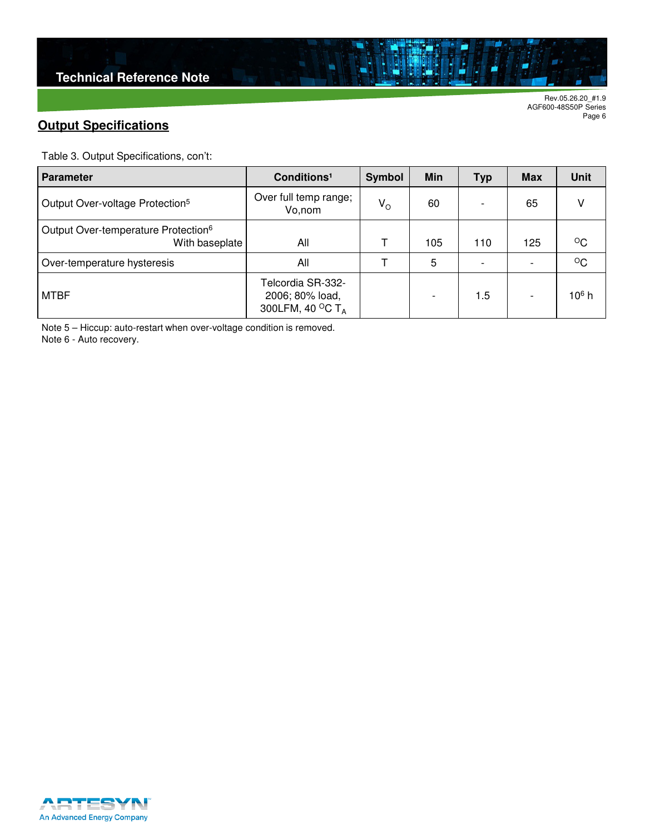### **Output Specifications**

Table 3. Output Specifications, con't:

| <b>Parameter</b>                                                  | Conditions <sup>1</sup>                                              | Symbol      | Min | <b>Typ</b> | <b>Max</b> | <b>Unit</b> |
|-------------------------------------------------------------------|----------------------------------------------------------------------|-------------|-----|------------|------------|-------------|
| Output Over-voltage Protection <sup>5</sup>                       | Over full temp range;<br>Vo.nom                                      | $V_{\rm O}$ | 60  |            | 65         | v           |
| Output Over-temperature Protection <sup>6</sup><br>With baseplate | All                                                                  |             | 105 | 110        | 125        | $\circ$ C   |
| Over-temperature hysteresis                                       | All                                                                  |             | 5   |            |            | $\circ$ C   |
| <b>MTBF</b>                                                       | Telcordia SR-332-<br>2006; 80% load,<br>300LFM, 40 °C T <sub>A</sub> |             |     | 1.5        |            | $106$ h     |

ä

Note 5 – Hiccup: auto-restart when over-voltage condition is removed.

Note 6 - Auto recovery.

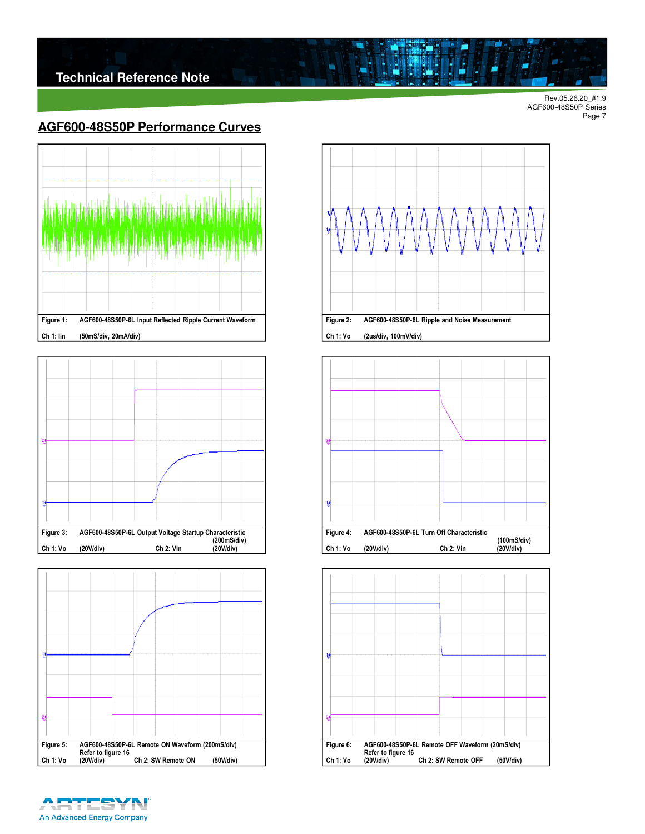#### **AGF600-48S50P Performance Curves**









ı,

u





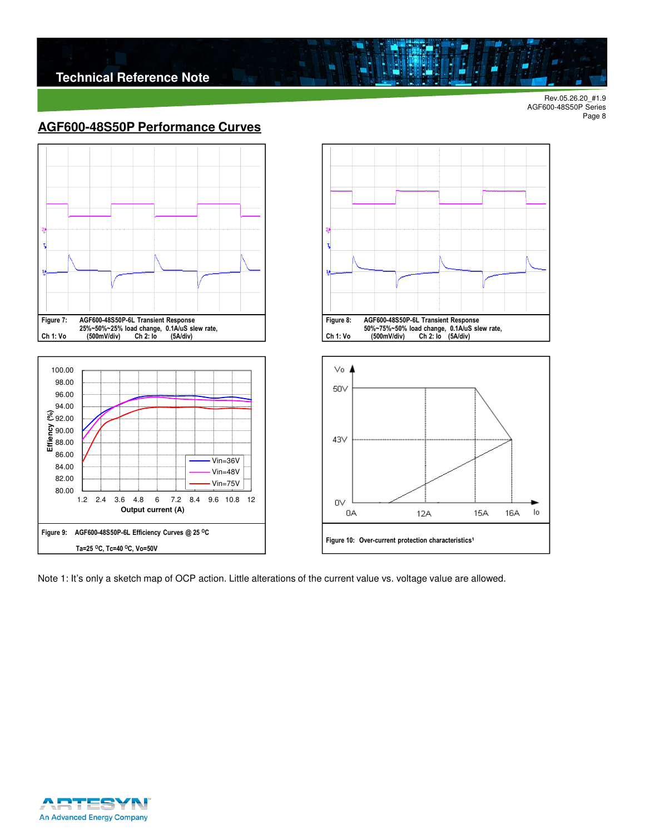**Technical Reference Note**

Rev.05.26.20\_#1.9 AGF600-48S50P Series Page 8

 $\mathsf{I} \circ$ 

**16A** 

**15A** 

#### **AGF600-48S50P Performance Curves**





ä

Figure 10: Over-current protection characteristics<sup>1</sup>

12A

43V

0V

0A

Note 1: It's only a sketch map of OCP action. Little alterations of the current value vs. voltage value are allowed.

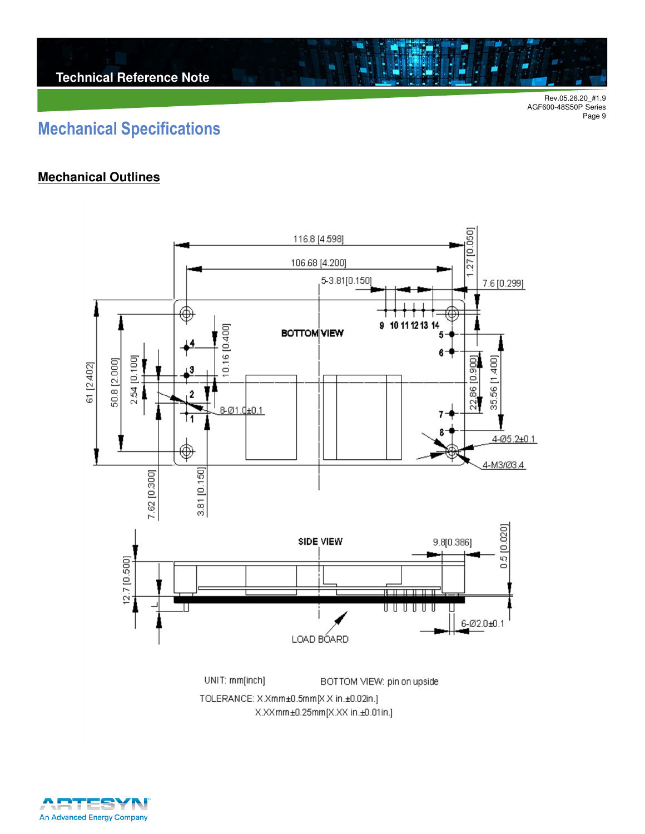# **Mechanical Specifications**

#### **Mechanical Outlines**



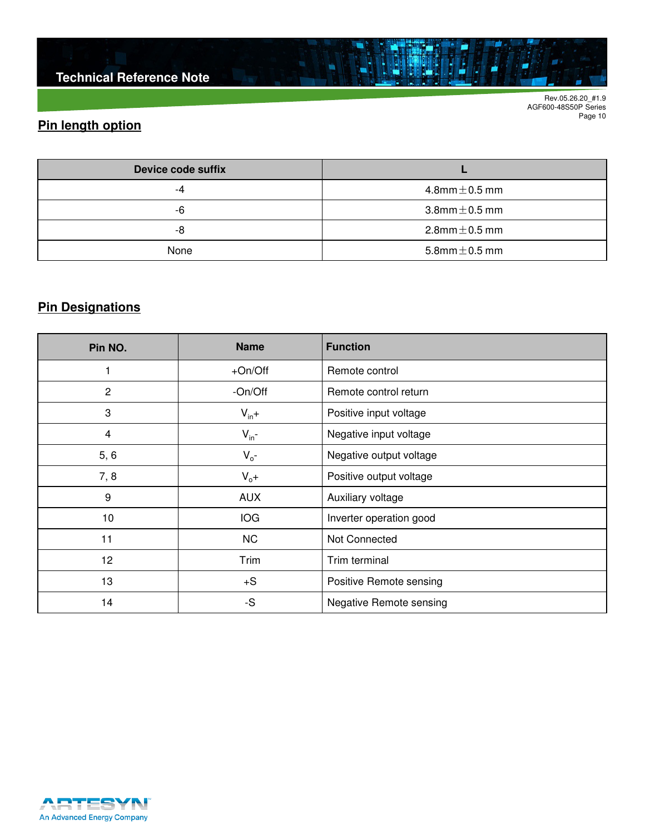**Technical Reference Note**

Rev.05.26.20\_#1.9 AGF600-48S50P Series Page 10

# **Pin length option**

| Device code suffix |                       |
|--------------------|-----------------------|
| -4                 | $4.8$ mm $\pm$ 0.5 mm |
| -6                 | $3.8$ mm $\pm$ 0.5 mm |
| -8                 | $2.8$ mm $\pm$ 0.5 mm |
| None               | 5.8mm $\pm$ 0.5 mm    |

ä

# **Pin Designations**

| Pin NO.         | <b>Name</b> | <b>Function</b>         |
|-----------------|-------------|-------------------------|
|                 | $+On/Off$   | Remote control          |
| $\overline{c}$  | -On/Off     | Remote control return   |
| 3               | $V_{in}+$   | Positive input voltage  |
| 4               | $V_{in}$ -  | Negative input voltage  |
| 5, 6            | $V_{o}$ -   | Negative output voltage |
| 7, 8            | $V_0 +$     | Positive output voltage |
| 9               | <b>AUX</b>  | Auxiliary voltage       |
| 10 <sup>1</sup> | <b>IOG</b>  | Inverter operation good |
| 11              | <b>NC</b>   | Not Connected           |
| 12              | Trim        | Trim terminal           |
| 13              | $+S$        | Positive Remote sensing |
| 14              | -S          | Negative Remote sensing |

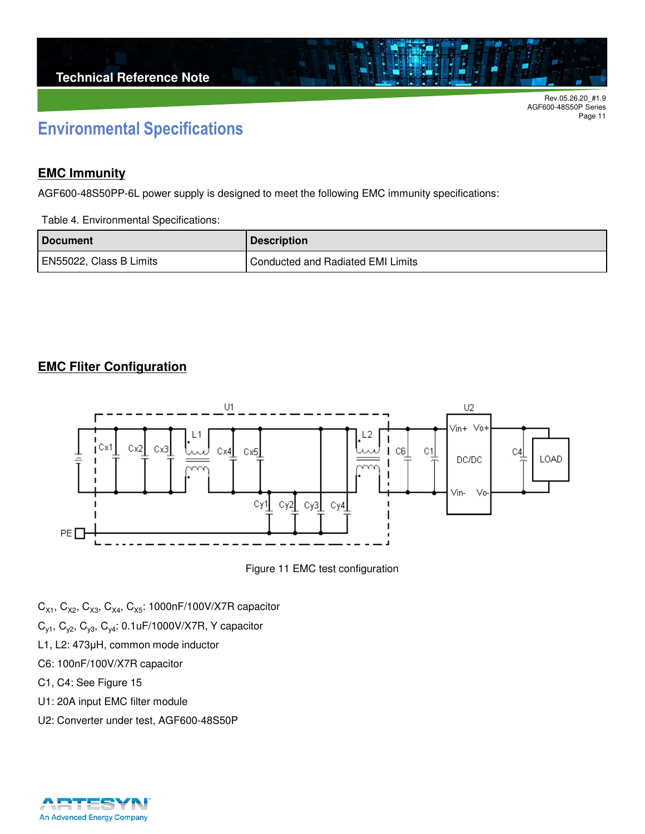# **Environmental Specifications**

#### **EMC Immunity**

AGF600-48S50PP-6L power supply is designed to meet the following EMC immunity specifications:

Table 4. Environmental Specifications:

| <b>Document</b>         | <b>Description</b>                |
|-------------------------|-----------------------------------|
| EN55022, Class B Limits | Conducted and Radiated EMI Limits |

### **EMC Fliter Configuration**





- $C_{X1}$ ,  $C_{X2}$ ,  $C_{X3}$ ,  $C_{X4}$ ,  $C_{X5}$ : 1000nF/100V/X7R capacitor
- $C_{y1}$ ,  $C_{y2}$ ,  $C_{y3}$ ,  $C_{y4}$ : 0.1uF/1000V/X7R, Y capacitor
- L1, L2: 473µH, common mode inductor
- C6: 100nF/100V/X7R capacitor
- C1, C4: See Figure 15
- U1: 20A input EMC filter module
- U2: Converter under test, AGF600-48S50P

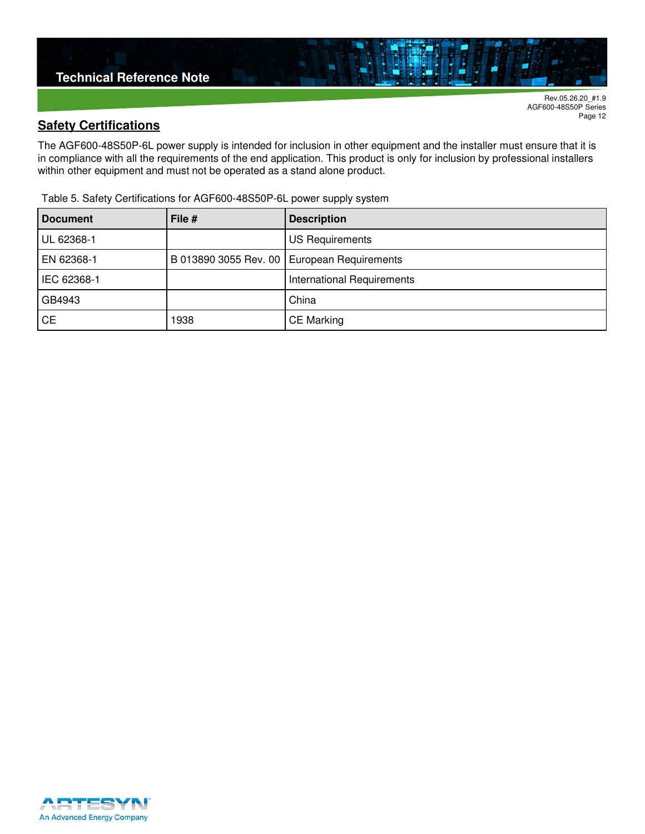

AGF600-48S50P Series

Page 12

### **Safety Certifications**

The AGF600-48S50P-6L power supply is intended for inclusion in other equipment and the installer must ensure that it is in compliance with all the requirements of the end application. This product is only for inclusion by professional installers within other equipment and must not be operated as a stand alone product.

|  |  | Table 5. Safety Certifications for AGF600-48S50P-6L power supply system |
|--|--|-------------------------------------------------------------------------|
|--|--|-------------------------------------------------------------------------|

| <b>Document</b> | File # | <b>Description</b>                            |
|-----------------|--------|-----------------------------------------------|
| UL 62368-1      |        | <b>US Requirements</b>                        |
| EN 62368-1      |        | B 013890 3055 Rev. 00   European Requirements |
| IEC 62368-1     |        | <b>International Requirements</b>             |
| GB4943          |        | China                                         |
| <b>CE</b>       | 1938   | <b>CE Marking</b>                             |

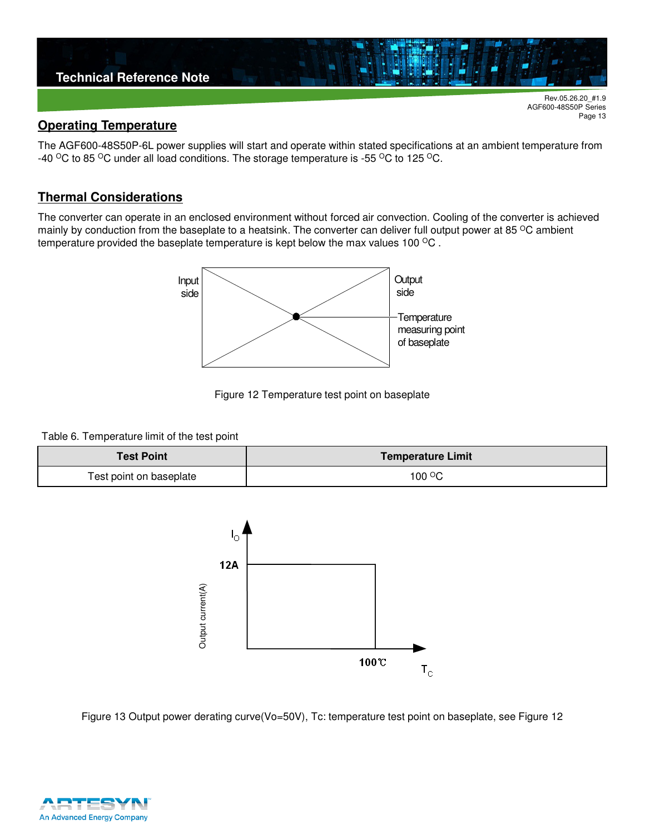

#### **Operating Temperature**

The AGF600-48S50P-6L power supplies will start and operate within stated specifications at an ambient temperature from -40  $\mathrm{^{\circ}C}$  to 85  $\mathrm{^{\circ}C}$  under all load conditions. The storage temperature is -55  $\mathrm{^{\circ}C}$  to 125  $\mathrm{^{\circ}C}$ .

Page 13

#### **Thermal Considerations**

The converter can operate in an enclosed environment without forced air convection. Cooling of the converter is achieved mainly by conduction from the baseplate to a heatsink. The converter can deliver full output power at 85 °C ambient temperature provided the baseplate temperature is kept below the max values 100 °C.



Figure 12 Temperature test point on baseplate

#### Table 6. Temperature limit of the test point

| <b>Test Point</b>       | <b>Temperature Limit</b> |
|-------------------------|--------------------------|
| Test point on baseplate | 100 $\mathrm{^{\circ}C}$ |



Figure 13 Output power derating curve(Vo=50V), Tc: temperature test point on baseplate, see Figure 12

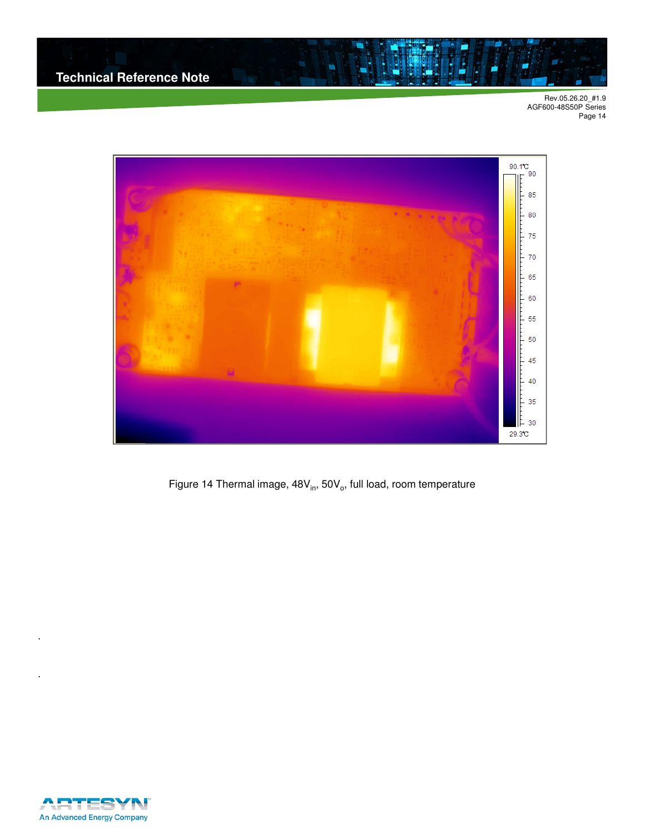

Figure 14 Thermal image, 48 $V_{\text{in}}$ , 50 $V_{\text{o}}$ , full load, room temperature



.

.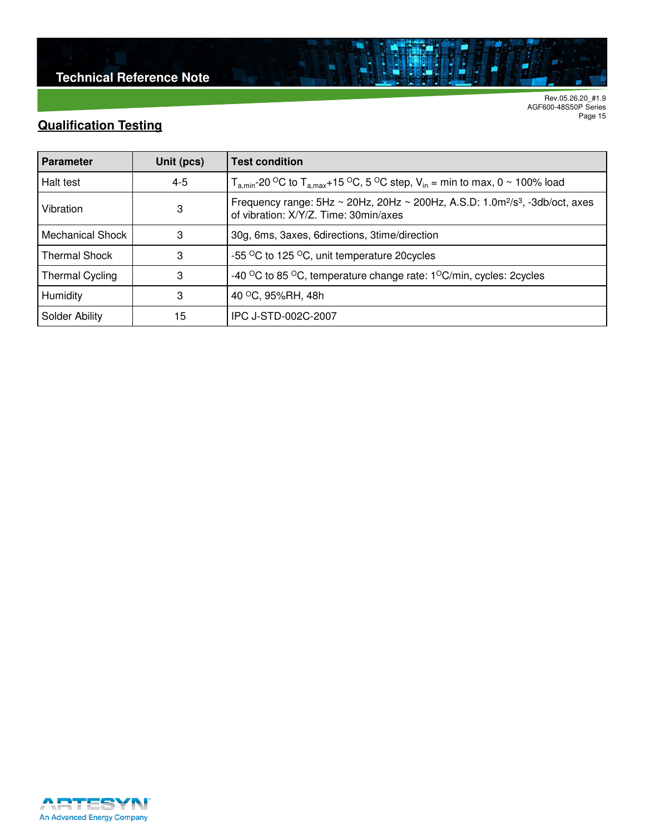# **Qualification Testing**

| <b>Parameter</b>       | Unit (pcs) | <b>Test condition</b>                                                                                                                              |
|------------------------|------------|----------------------------------------------------------------------------------------------------------------------------------------------------|
| Halt test              | $4 - 5$    | $T_{\text{a,min}}$ -20 <sup>o</sup> C to $T_{\text{a,max}}$ +15 <sup>o</sup> C, 5 <sup>o</sup> C step, V <sub>in</sub> = min to max, 0 ~ 100% load |
| Vibration              | 3          | Frequency range: 5Hz ~ 20Hz, 20Hz ~ 200Hz, A.S.D: 1.0m <sup>2</sup> /s <sup>3</sup> , -3db/oct, axes<br>of vibration: X/Y/Z. Time: 30min/axes      |
| Mechanical Shock       | 3          | 30g, 6ms, 3axes, 6directions, 3time/direction                                                                                                      |
| <b>Thermal Shock</b>   | 3          | -55 °C to 125 °C, unit temperature 20 cycles                                                                                                       |
| <b>Thermal Cycling</b> | 3          | -40 °C to 85 °C, temperature change rate: 1°C/min, cycles: 2cycles                                                                                 |
| Humidity               | 3          | 40 °C, 95%RH, 48h                                                                                                                                  |
| <b>Solder Ability</b>  | 15         | IPC J-STD-002C-2007                                                                                                                                |

ä

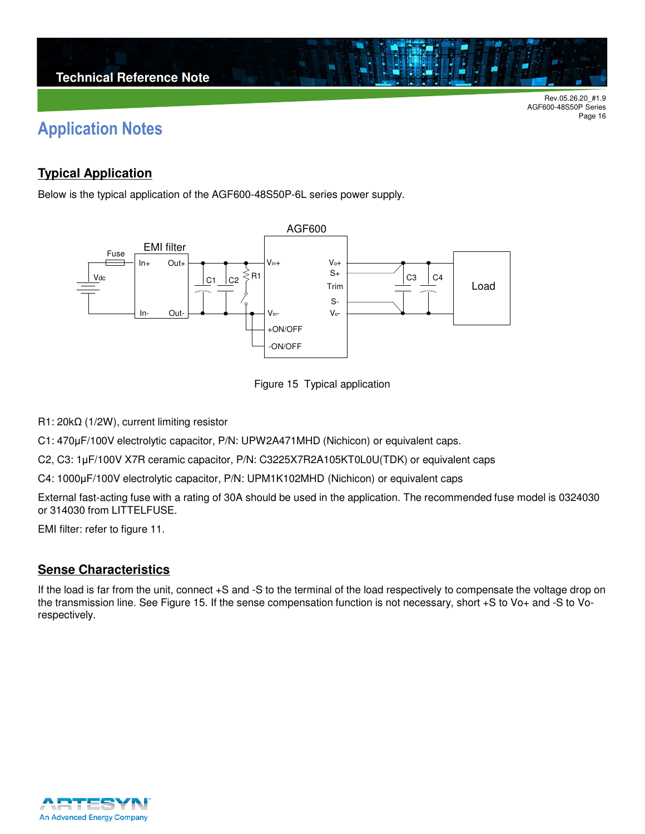# **Application Notes**

### **Typical Application**

Below is the typical application of the AGF600-48S50P-6L series power supply.



Figure 15 Typical application

R1: 20kΩ (1/2W), current limiting resistor

C1: 470µF/100V electrolytic capacitor, P/N: UPW2A471MHD (Nichicon) or equivalent caps.

C2, C3: 1µF/100V X7R ceramic capacitor, P/N: C3225X7R2A105KT0L0U(TDK) or equivalent caps

C4: 1000µF/100V electrolytic capacitor, P/N: UPM1K102MHD (Nichicon) or equivalent caps

External fast-acting fuse with a rating of 30A should be used in the application. The recommended fuse model is 0324030 or 314030 from LITTELFUSE.

EMI filter: refer to figure 11.

#### **Sense Characteristics**

If the load is far from the unit, connect +S and -S to the terminal of the load respectively to compensate the voltage drop on the transmission line. See Figure 15. If the sense compensation function is not necessary, short +S to Vo+ and -S to Vorespectively.

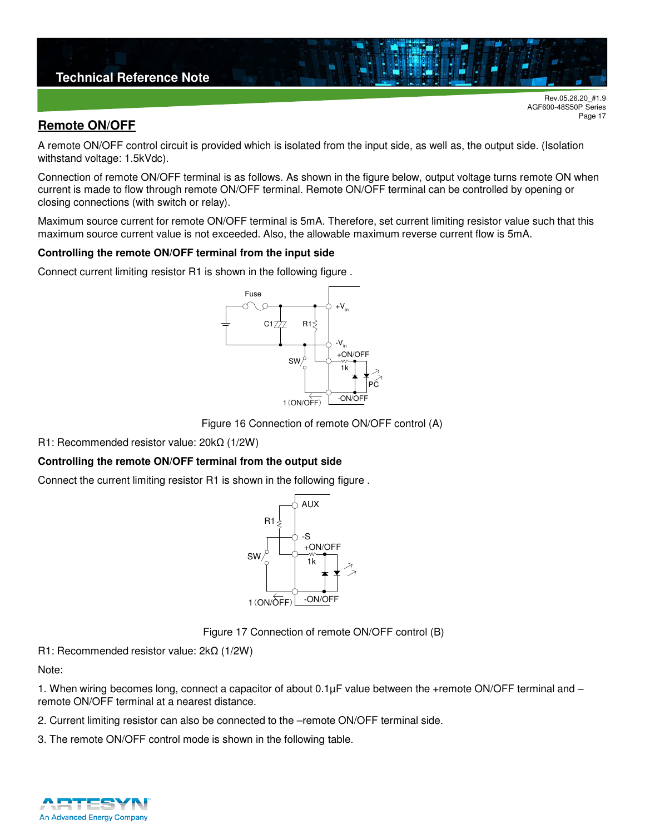

#### **Remote ON/OFF**

A remote ON/OFF control circuit is provided which is isolated from the input side, as well as, the output side. (Isolation withstand voltage: 1.5kVdc).

Connection of remote ON/OFF terminal is as follows. As shown in the figure below, output voltage turns remote ON when current is made to flow through remote ON/OFF terminal. Remote ON/OFF terminal can be controlled by opening or closing connections (with switch or relay).

Maximum source current for remote ON/OFF terminal is 5mA. Therefore, set current limiting resistor value such that this maximum source current value is not exceeded. Also, the allowable maximum reverse current flow is 5mA.

#### **Controlling the remote ON/OFF terminal from the input side**

Connect current limiting resistor R1 is shown in the following figure .



Figure 16 Connection of remote ON/OFF control (A)

R1: Recommended resistor value: 20kΩ (1/2W)

#### **Controlling the remote ON/OFF terminal from the output side**

Connect the current limiting resistor R1 is shown in the following figure .



Figure 17 Connection of remote ON/OFF control (B)

R1: Recommended resistor value: 2kΩ (1/2W)

Note:

1. When wiring becomes long, connect a capacitor of about 0.1µF value between the +remote ON/OFF terminal and – remote ON/OFF terminal at a nearest distance.

- 2. Current limiting resistor can also be connected to the –remote ON/OFF terminal side.
- 3. The remote ON/OFF control mode is shown in the following table.

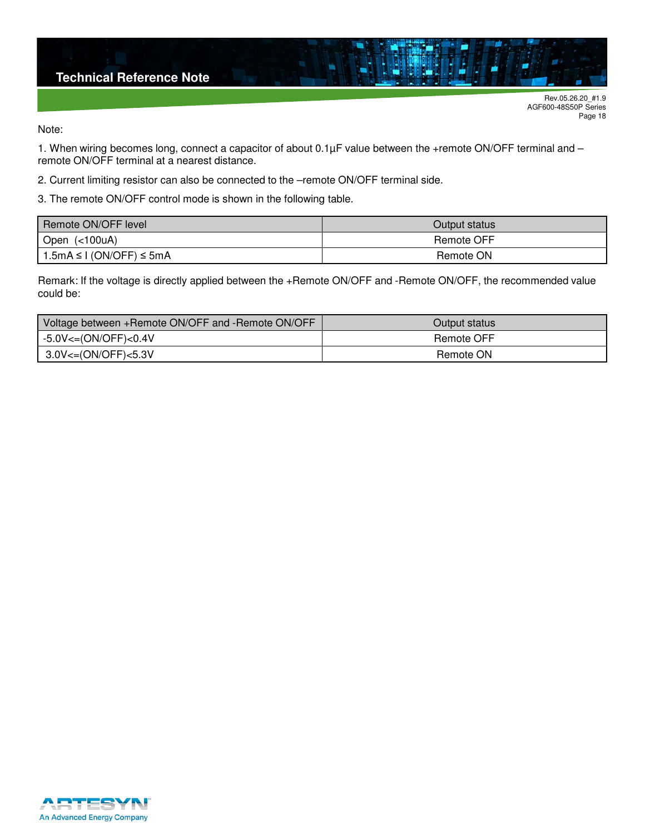

Note:

1. When wiring becomes long, connect a capacitor of about 0.1µF value between the +remote ON/OFF terminal and – remote ON/OFF terminal at a nearest distance.

2. Current limiting resistor can also be connected to the –remote ON/OFF terminal side.

3. The remote ON/OFF control mode is shown in the following table.

| Remote ON/OFF level                | Output status |
|------------------------------------|---------------|
| Open $(<100uA)$                    | Remote OFF    |
| $1.5mA \leq 1$ (ON/OFF) $\leq 5mA$ | Remote ON     |

Remark: If the voltage is directly applied between the +Remote ON/OFF and -Remote ON/OFF, the recommended value could be:

| Voltage between +Remote ON/OFF and -Remote ON/OFF | Output status |
|---------------------------------------------------|---------------|
| l -5.0V<=(ON/OFF)<0.4V                            | Remote OFF    |
| $3.0V \leq (ON/OFF) \leq 5.3V$                    | Remote ON     |

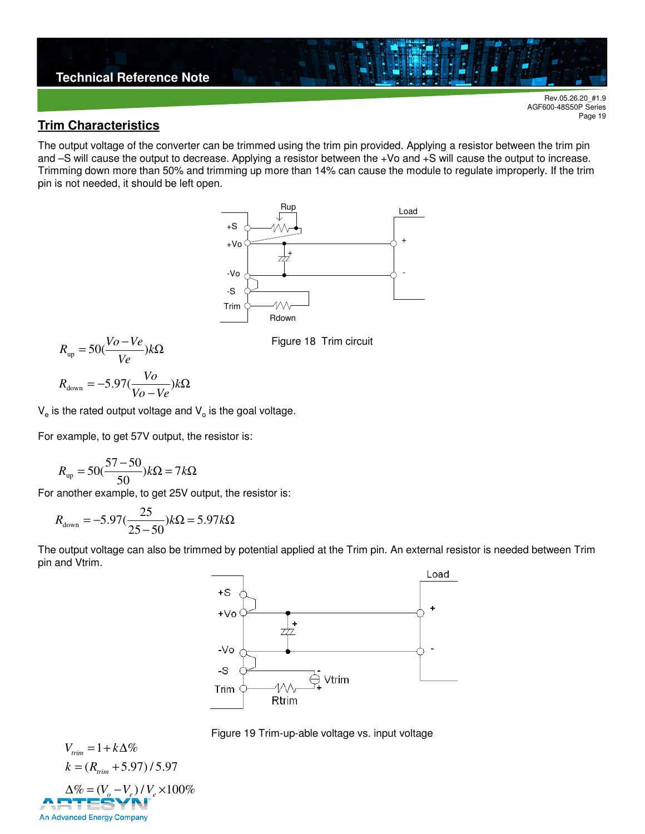

AGF600-48S50P Series

Page 19

#### **Trim Characteristics**

The output voltage of the converter can be trimmed using the trim pin provided. Applying a resistor between the trim pin and –S will cause the output to decrease. Applying a resistor between the +Vo and +S will cause the output to increase. Trimming down more than 50% and trimming up more than 14% can cause the module to regulate improperly. If the trim pin is not needed, it should be left open.



Figure 18 Trim circuit

$$
R_{\text{up}} = 50(\frac{Vo - Ve}{Ve})k\Omega
$$

$$
R_{\text{down}} = -5.97(\frac{Vo}{Vo - Ve})k\Omega
$$

 $V_e$  is the rated output voltage and  $V_o$  is the goal voltage.

For example, to get 57V output, the resistor is:

$$
R_{\rm up} = 50(\frac{57 - 50}{50})k\Omega = 7k\Omega
$$

For another example, to get 25V output, the resistor is:

$$
R_{\text{down}} = -5.97 \left(\frac{25}{25 - 50}\right) k\Omega = 5.97 k\Omega
$$

The output voltage can also be trimmed by potential applied at the Trim pin. An external resistor is needed between Trim pin and Vtrim.



Figure 19 Trim-up-able voltage vs. input voltage

$$
V_{trim} = 1 + k\Delta\%
$$
  
\n
$$
k = (R_{trim} + 5.97) / 5.97
$$
  
\n
$$
\Delta\% = (V_o - V_e) / V_e \times 100\%
$$
  
\nAn Advanced Energy Company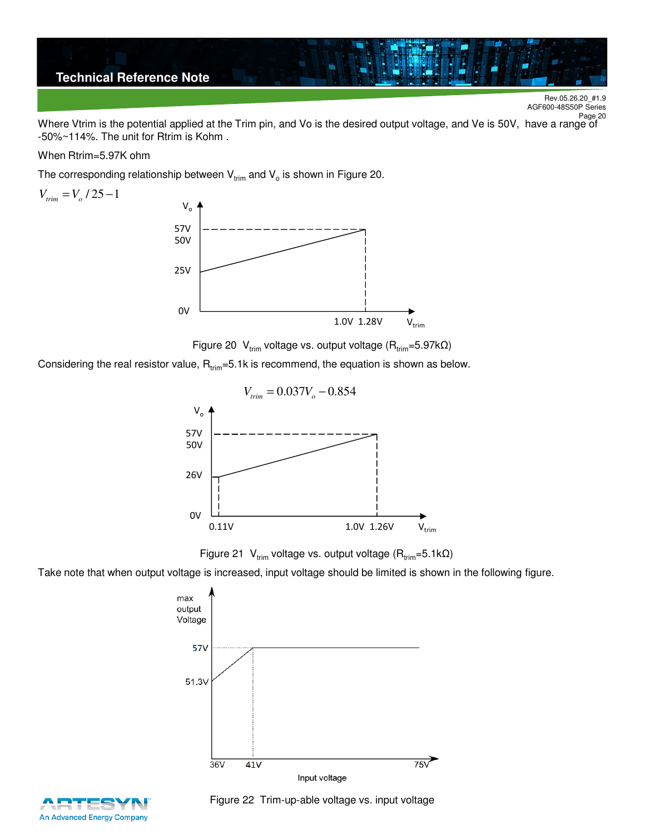

Where Vtrim is the potential applied at the Trim pin, and Vo is the desired output voltage, and Ve is 50V, have a range of -50%~114%. The unit for Rtrim is Kohm .

#### When Rtrim=5.97K ohm

The corresponding relationship between  $\bm{\mathsf{V}}_{\text{trim}}$  and  $\bm{\mathsf{V}}_{\text{o}}$  is shown in Figure 20.



Figure 20 V<sub>trim</sub> voltage vs. output voltage (R<sub>trim</sub>=5.97kΩ)

Considering the real resistor value,  $R_{\text{trim}} = 5.1k$  is recommend, the equation is shown as below.



Figure 21 V<sub>trim</sub> voltage vs. output voltage (R<sub>trim</sub>=5.1kΩ)

Take note that when output voltage is increased, input voltage should be limited is shown in the following figure.





Figure 22 Trim-up-able voltage vs. input voltage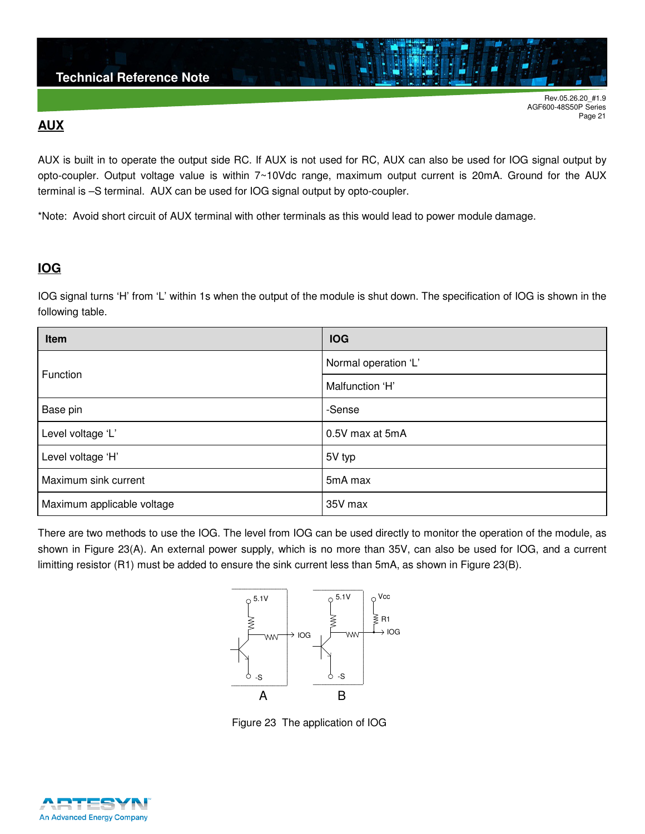#### **AUX**

AUX is built in to operate the output side RC. If AUX is not used for RC, AUX can also be used for IOG signal output by opto-coupler. Output voltage value is within 7~10Vdc range, maximum output current is 20mA. Ground for the AUX terminal is –S terminal. AUX can be used for IOG signal output by opto-coupler.

\*Note: Avoid short circuit of AUX terminal with other terminals as this would lead to power module damage.

#### **IOG**

IOG signal turns 'H' from 'L' within 1s when the output of the module is shut down. The specification of IOG is shown in the following table.

| Item                       | <b>IOG</b>           |
|----------------------------|----------------------|
|                            | Normal operation 'L' |
| Function                   | Malfunction 'H'      |
| Base pin                   | -Sense               |
| Level voltage 'L'          | 0.5V max at 5mA      |
| Level voltage 'H'          | 5V typ               |
| Maximum sink current       | 5mA max              |
| Maximum applicable voltage | 35V max              |

There are two methods to use the IOG. The level from IOG can be used directly to monitor the operation of the module, as shown in Figure 23(A). An external power supply, which is no more than 35V, can also be used for IOG, and a current limitting resistor (R1) must be added to ensure the sink current less than 5mA, as shown in Figure 23(B).



Figure 23 The application of IOG

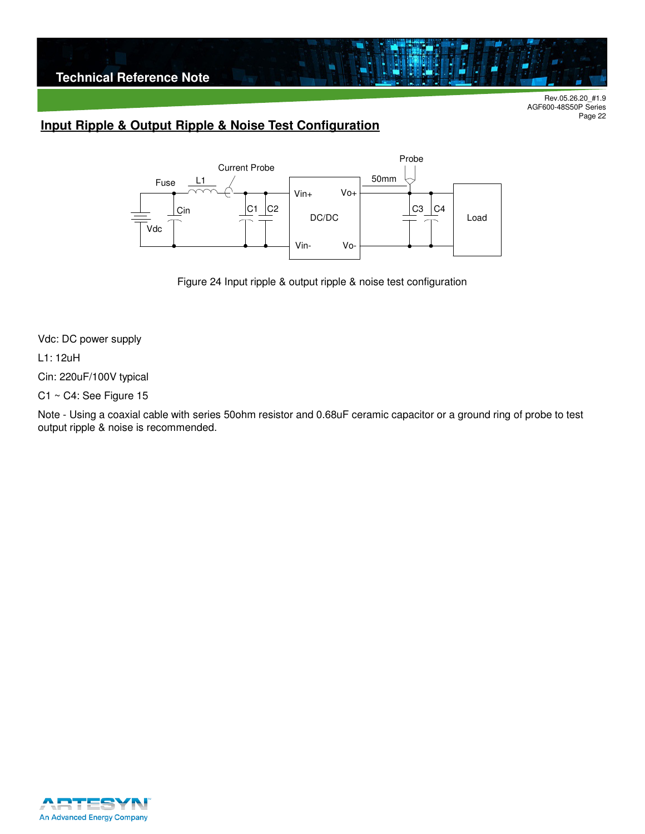

# **Input Ripple & Output Ripple & Noise Test Configuration**



Figure 24 Input ripple & output ripple & noise test configuration

Vdc: DC power supply

L1: 12uH

Cin: 220uF/100V typical

C1 ~ C4: See Figure 15

Note - Using a coaxial cable with series 50ohm resistor and 0.68uF ceramic capacitor or a ground ring of probe to test output ripple & noise is recommended.

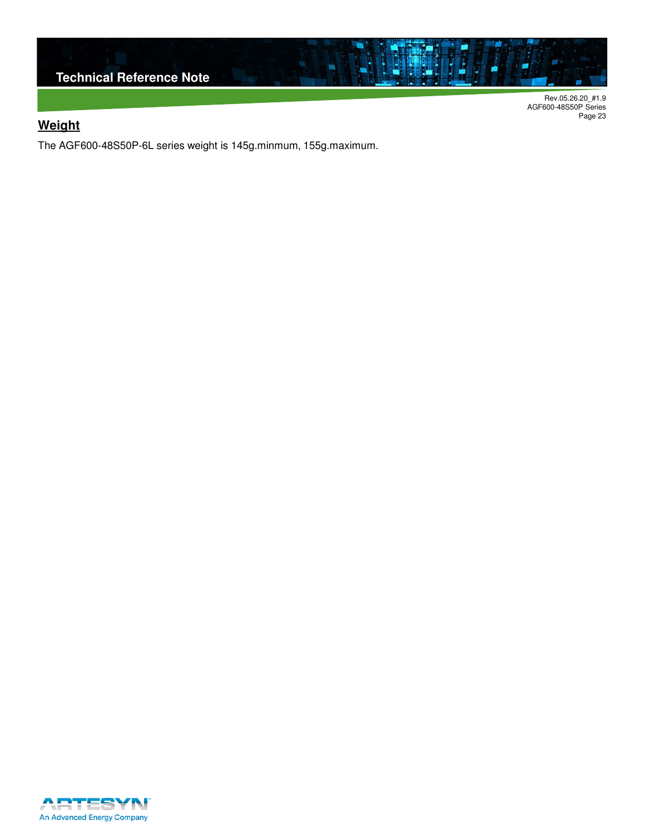

### **Weight**

The AGF600-48S50P-6L series weight is 145g.minmum, 155g.maximum.

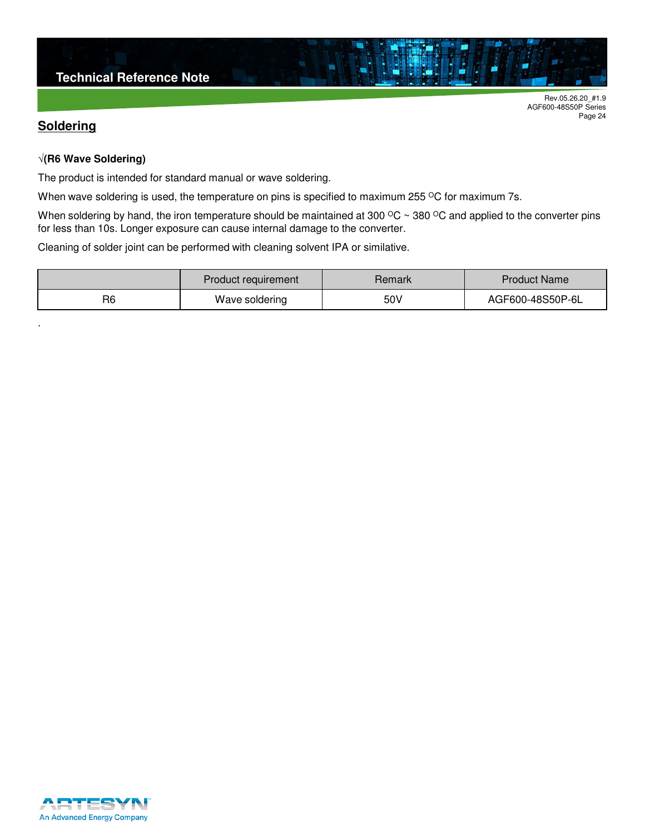### **Soldering**

.

Rev.05.26.20\_#1.9 AGF600-48S50P Series Page 24

#### **√(R6 Wave Soldering)**

The product is intended for standard manual or wave soldering.

When wave soldering is used, the temperature on pins is specified to maximum 255 °C for maximum 7s.

When soldering by hand, the iron temperature should be maintained at 300  $\degree$ C ~ 380  $\degree$ C and applied to the converter pins for less than 10s. Longer exposure can cause internal damage to the converter.

Cleaning of solder joint can be performed with cleaning solvent IPA or similative.

|    | Product requirement | Remark          | <b>Product Name</b> |
|----|---------------------|-----------------|---------------------|
| R6 | Wave soldering      | 50 <sub>V</sub> | AGF600-48S50P-6L    |